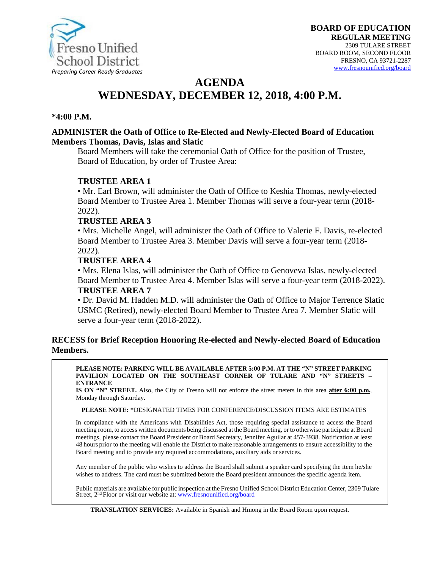

# **AGENDA WEDNESDAY, DECEMBER 12, 2018, 4:00 P.M.**

#### **\*4:00 P.M.**

#### **ADMINISTER the Oath of Office to Re-Elected and Newly-Elected Board of Education Members Thomas, Davis, Islas and Slatic**

Board Members will take the ceremonial Oath of Office for the position of Trustee, Board of Education, by order of Trustee Area:

#### **TRUSTEE AREA 1**

• Mr. Earl Brown, will administer the Oath of Office to Keshia Thomas, newly-elected Board Member to Trustee Area 1. Member Thomas will serve a four-year term (2018- 2022).

#### **TRUSTEE AREA 3**

• Mrs. Michelle Angel, will administer the Oath of Office to Valerie F. Davis, re-elected Board Member to Trustee Area 3. Member Davis will serve a four-year term (2018- 2022).

#### **TRUSTEE AREA 4**

• Mrs. Elena Islas, will administer the Oath of Office to Genoveva Islas, newly-elected Board Member to Trustee Area 4. Member Islas will serve a four-year term (2018-2022). **TRUSTEE AREA 7**

• Dr. David M. Hadden M.D. will administer the Oath of Office to Major Terrence Slatic USMC (Retired), newly-elected Board Member to Trustee Area 7. Member Slatic will serve a four-year term (2018-2022).

#### **RECESS for Brief Reception Honoring Re-elected and Newly-elected Board of Education Members.**

#### **PLEASE NOTE: PARKING WILL BE AVAILABLE AFTER 5:00 P.M. AT THE "N" STREET PARKING PAVILION LOCATED ON THE SOUTHEAST CORNER OF TULARE AND "N" STREETS – ENTRANCE**

**IS ON "N" STREET.** Also, the City of Fresno will not enforce the street meters in this area **after 6:00 p.m.**, Monday through Saturday.

#### **PLEASE NOTE: \***DESIGNATED TIMES FOR CONFERENCE/DISCUSSION ITEMS ARE ESTIMATES

In compliance with the Americans with Disabilities Act, those requiring special assistance to access the Board meeting room, to access written documents being discussed at the Board meeting, or to otherwise participate at Board meetings, please contact the Board President or Board Secretary, Jennifer Aguilar at 457-3938. Notification at least 48 hours prior to the meeting will enable the District to make reasonable arrangements to ensure accessibility to the Board meeting and to provide any required accommodations, auxiliary aids orservices.

Any member of the public who wishes to address the Board shall submit a speaker card specifying the item he/she wishes to address. The card must be submitted before the Board president announces the specific agenda item.

Public materials are available for public inspection at the Fresno Unified School District Education Center, 2309 Tulare Street, 2nd Floor or visit our website at: [www.fresnounified.org/board](http://www.fresnounified.org/board)

**TRANSLATION SERVICES:** Available in Spanish and Hmong in the Board Room upon request.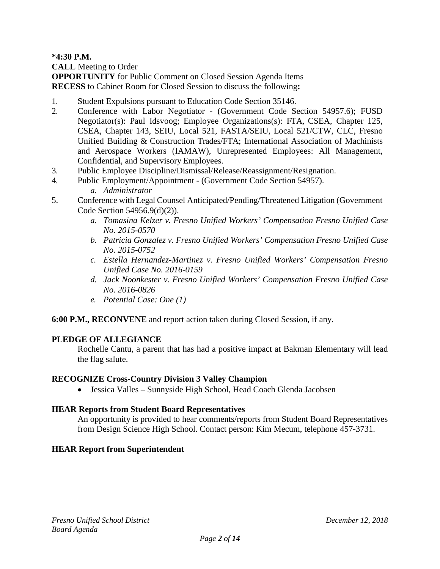**\*4:30 P.M.**

**CALL** Meeting to Order

**OPPORTUNITY** for Public Comment on Closed Session Agenda Items **RECESS** to Cabinet Room for Closed Session to discuss the following**:**

- 1. Student Expulsions pursuant to Education Code Section 35146.
- 2. Conference with Labor Negotiator (Government Code Section 54957.6); FUSD Negotiator(s): Paul Idsvoog; Employee Organizations(s): FTA, CSEA, Chapter 125, CSEA, Chapter 143, SEIU, Local 521, FASTA/SEIU, Local 521/CTW, CLC, Fresno Unified Building & Construction Trades/FTA; International Association of Machinists and Aerospace Workers (IAMAW), Unrepresented Employees: All Management, Confidential, and Supervisory Employees.
- 3. Public Employee Discipline/Dismissal/Release/Reassignment/Resignation.
- 4. Public Employment/Appointment (Government Code Section 54957).
	- *a. Administrator*
- 5. Conference with Legal Counsel Anticipated/Pending/Threatened Litigation (Government Code Section 54956.9(d)(2)).
	- *a. Tomasina Kelzer v. Fresno Unified Workers' Compensation Fresno Unified Case No. 2015-0570*
	- *b. Patricia Gonzalez v. Fresno Unified Workers' Compensation Fresno Unified Case No. 2015-0752*
	- *c. Estella Hernandez-Martinez v. Fresno Unified Workers' Compensation Fresno Unified Case No. 2016-0159*
	- *d. Jack Noonkester v. Fresno Unified Workers' Compensation Fresno Unified Case No. 2016-0826*
	- *e. Potential Case: One (1)*

#### **6:00 P.M., RECONVENE** and report action taken during Closed Session, if any.

#### **PLEDGE OF ALLEGIANCE**

Rochelle Cantu, a parent that has had a positive impact at Bakman Elementary will lead the flag salute.

#### **RECOGNIZE Cross-Country Division 3 Valley Champion**

• Jessica Valles – Sunnyside High School, Head Coach Glenda Jacobsen

#### **HEAR Reports from Student Board Representatives**

An opportunity is provided to hear comments/reports from Student Board Representatives from Design Science High School. Contact person: Kim Mecum, telephone 457-3731.

#### **HEAR Report from Superintendent**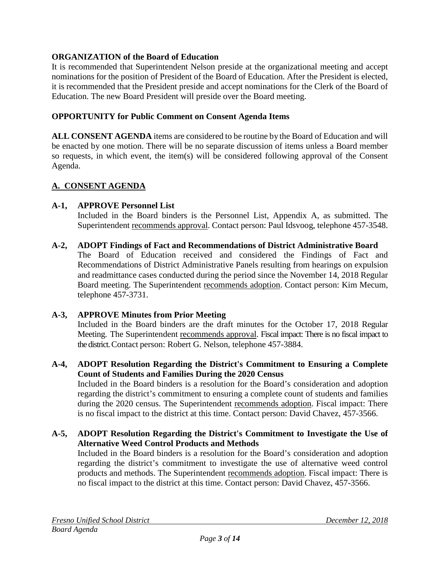## **ORGANIZATION of the Board of Education**

It is recommended that Superintendent Nelson preside at the organizational meeting and accept nominations for the position of President of the Board of Education. After the President is elected, it is recommended that the President preside and accept nominations for the Clerk of the Board of Education. The new Board President will preside over the Board meeting.

## **OPPORTUNITY for Public Comment on Consent Agenda Items**

**ALL CONSENT AGENDA** items are considered to be routine by the Board of Education and will be enacted by one motion. There will be no separate discussion of items unless a Board member so requests, in which event, the item(s) will be considered following approval of the Consent Agenda.

# **A. CONSENT AGENDA**

## **A-1, APPROVE Personnel List**

Included in the Board binders is the Personnel List, Appendix A, as submitted. The Superintendent recommends approval. Contact person: Paul Idsvoog, telephone 457-3548.

**A-2, ADOPT Findings of Fact and Recommendations of District Administrative Board** The Board of Education received and considered the Findings of Fact and Recommendations of District Administrative Panels resulting from hearings on expulsion and readmittance cases conducted during the period since the November 14, 2018 Regular Board meeting. The Superintendent recommends adoption. Contact person: Kim Mecum, telephone 457-3731.

#### **A-3, APPROVE Minutes from Prior Meeting**

Included in the Board binders are the draft minutes for the October 17, 2018 Regular Meeting. The Superintendent recommends approval. Fiscal impact: There is no fiscal impact to the district. Contact person: Robert G. Nelson, telephone 457-3884.

## **A-4, ADOPT Resolution Regarding the District's Commitment to Ensuring a Complete Count of Students and Families During the 2020 Census**

Included in the Board binders is a resolution for the Board's consideration and adoption regarding the district's commitment to ensuring a complete count of students and families during the 2020 census. The Superintendent recommends adoption. Fiscal impact: There is no fiscal impact to the district at this time. Contact person: David Chavez, 457-3566.

#### **A-5, ADOPT Resolution Regarding the District's Commitment to Investigate the Use of Alternative Weed Control Products and Methods**

Included in the Board binders is a resolution for the Board's consideration and adoption regarding the district's commitment to investigate the use of alternative weed control products and methods. The Superintendent recommends adoption. Fiscal impact: There is no fiscal impact to the district at this time. Contact person: David Chavez, 457-3566.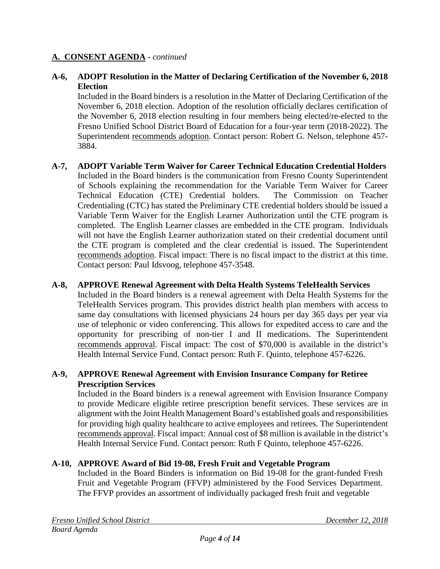## **A-6, ADOPT Resolution in the Matter of Declaring Certification of the November 6, 2018 Election**

Included in the Board binders is a resolution in the Matter of Declaring Certification of the November 6, 2018 election. Adoption of the resolution officially declares certification of the November 6, 2018 election resulting in four members being elected/re-elected to the Fresno Unified School District Board of Education for a four-year term (2018-2022). The Superintendent recommends adoption. Contact person: Robert G. Nelson, telephone 457- 3884.

**A-7, ADOPT Variable Term Waiver for Career Technical Education Credential Holders** Included in the Board binders is the communication from Fresno County Superintendent of Schools explaining the recommendation for the Variable Term Waiver for Career Technical Education (CTE) Credential holders. The Commission on Teacher Credentialing (CTC) has stated the Preliminary CTE credential holders should be issued a Variable Term Waiver for the English Learner Authorization until the CTE program is completed. The English Learner classes are embedded in the CTE program. Individuals will not have the English Learner authorization stated on their credential document until the CTE program is completed and the clear credential is issued. The Superintendent recommends adoption. Fiscal impact: There is no fiscal impact to the district at this time. Contact person: Paul Idsvoog, telephone 457-3548.

#### **A-8, APPROVE Renewal Agreement with Delta Health Systems TeleHealth Services**

Included in the Board binders is a renewal agreement with Delta Health Systems for the TeleHealth Services program. This provides district health plan members with access to same day consultations with licensed physicians 24 hours per day 365 days per year via use of telephonic or video conferencing. This allows for expedited access to care and the opportunity for prescribing of non-tier I and II medications. The Superintendent recommends approval. Fiscal impact: The cost of \$70,000 is available in the district's Health Internal Service Fund. Contact person: Ruth F. Quinto, telephone 457-6226.

#### **A-9, APPROVE Renewal Agreement with Envision Insurance Company for Retiree Prescription Services**

Included in the Board binders is a renewal agreement with Envision Insurance Company to provide Medicare eligible retiree prescription benefit services. These services are in alignment with the Joint Health Management Board's established goals and responsibilities for providing high quality healthcare to active employees and retirees. The Superintendent recommends approval. Fiscal impact: Annual cost of \$8 million is available in the district's Health Internal Service Fund. Contact person: Ruth F Quinto, telephone 457-6226.

#### **A-10, APPROVE Award of Bid 19-08, Fresh Fruit and Vegetable Program**

Included in the Board Binders is information on Bid 19-08 for the grant-funded Fresh Fruit and Vegetable Program (FFVP) administered by the Food Services Department. The FFVP provides an assortment of individually packaged fresh fruit and vegetable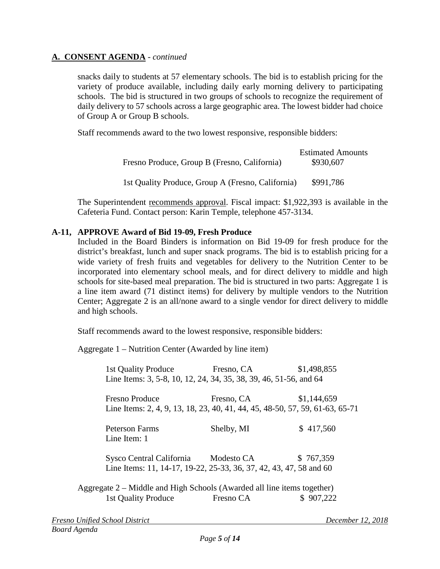snacks daily to students at 57 elementary schools. The bid is to establish pricing for the variety of produce available, including daily early morning delivery to participating schools. The bid is structured in two groups of schools to recognize the requirement of daily delivery to 57 schools across a large geographic area. The lowest bidder had choice of Group A or Group B schools.

Staff recommends award to the two lowest responsive, responsible bidders:

| Fresno Produce, Group B (Fresno, California)      | <b>Estimated Amounts</b><br>\$930,607 |
|---------------------------------------------------|---------------------------------------|
| 1st Quality Produce, Group A (Fresno, California) | \$991,786                             |

The Superintendent recommends approval. Fiscal impact: \$1,922,393 is available in the Cafeteria Fund. Contact person: Karin Temple, telephone 457-3134.

#### **A-11, APPROVE Award of Bid 19-09, Fresh Produce**

Included in the Board Binders is information on Bid 19-09 for fresh produce for the district's breakfast, lunch and super snack programs. The bid is to establish pricing for a wide variety of fresh fruits and vegetables for delivery to the Nutrition Center to be incorporated into elementary school meals, and for direct delivery to middle and high schools for site-based meal preparation. The bid is structured in two parts: Aggregate 1 is a line item award (71 distinct items) for delivery by multiple vendors to the Nutrition Center; Aggregate 2 is an all/none award to a single vendor for direct delivery to middle and high schools.

Staff recommends award to the lowest responsive, responsible bidders:

Aggregate 1 – Nutrition Center (Awarded by line item)

| 1st Quality Produce<br>Line Items: 3, 5-8, 10, 12, 24, 34, 35, 38, 39, 46, 51-56, and 64              | Fresno, CA | \$1,498,855 |
|-------------------------------------------------------------------------------------------------------|------------|-------------|
| <b>Fresno Produce</b><br>Line Items: 2, 4, 9, 13, 18, 23, 40, 41, 44, 45, 48-50, 57, 59, 61-63, 65-71 | Fresno, CA | \$1,144,659 |
| <b>Peterson Farms</b><br>Line Item: 1                                                                 | Shelby, MI | \$417,560   |
| Sysco Central California<br>Line Items: 11, 14-17, 19-22, 25-33, 36, 37, 42, 43, 47, 58 and 60        | Modesto CA | \$767,359   |
| Aggregate 2 – Middle and High Schools (Awarded all line items together)                               |            |             |

1st Quality Produce Fresno CA \$ 907,222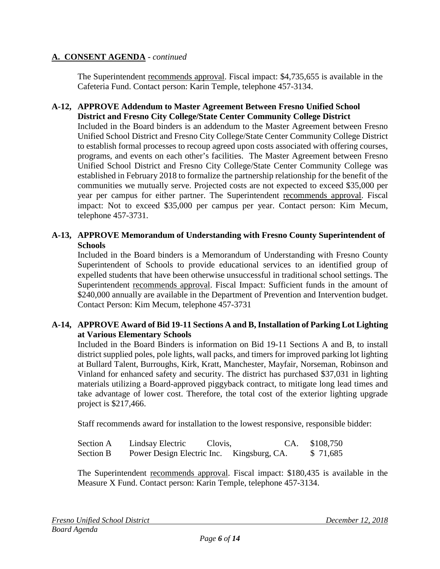The Superintendent recommends approval. Fiscal impact: \$4,735,655 is available in the Cafeteria Fund. Contact person: Karin Temple, telephone 457-3134.

### **A-12, APPROVE Addendum to Master Agreement Between Fresno Unified School District and Fresno City College/State Center Community College District**

Included in the Board binders is an addendum to the Master Agreement between Fresno Unified School District and Fresno City College/State Center Community College District to establish formal processes to recoup agreed upon costs associated with offering courses, programs, and events on each other's facilities. The Master Agreement between Fresno Unified School District and Fresno City College/State Center Community College was established in February 2018 to formalize the partnership relationship for the benefit of the communities we mutually serve. Projected costs are not expected to exceed \$35,000 per year per campus for either partner. The Superintendent recommends approval. Fiscal impact: Not to exceed \$35,000 per campus per year. Contact person: Kim Mecum, telephone 457-3731.

## **A-13, APPROVE Memorandum of Understanding with Fresno County Superintendent of Schools**

Included in the Board binders is a Memorandum of Understanding with Fresno County Superintendent of Schools to provide educational services to an identified group of expelled students that have been otherwise unsuccessful in traditional school settings. The Superintendent recommends approval. Fiscal Impact: Sufficient funds in the amount of \$240,000 annually are available in the Department of Prevention and Intervention budget. Contact Person: Kim Mecum, telephone 457-3731

#### **A-14, APPROVE Award of Bid 19-11 Sections A and B, Installation of Parking Lot Lighting at Various Elementary Schools**

Included in the Board Binders is information on Bid 19-11 Sections A and B, to install district supplied poles, pole lights, wall packs, and timers for improved parking lot lighting at Bullard Talent, Burroughs, Kirk, Kratt, Manchester, Mayfair, Norseman, Robinson and Vinland for enhanced safety and security. The district has purchased \$37,031 in lighting materials utilizing a Board-approved piggyback contract, to mitigate long lead times and take advantage of lower cost. Therefore, the total cost of the exterior lighting upgrade project is \$217,466.

Staff recommends award for installation to the lowest responsive, responsible bidder:

| Section A | Lindsay Electric                          | Clovis, | CA. \$108,750 |
|-----------|-------------------------------------------|---------|---------------|
| Section B | Power Design Electric Inc. Kingsburg, CA. |         | \$ 71,685     |

The Superintendent recommends approval. Fiscal impact: \$180,435 is available in the Measure X Fund. Contact person: Karin Temple, telephone 457-3134.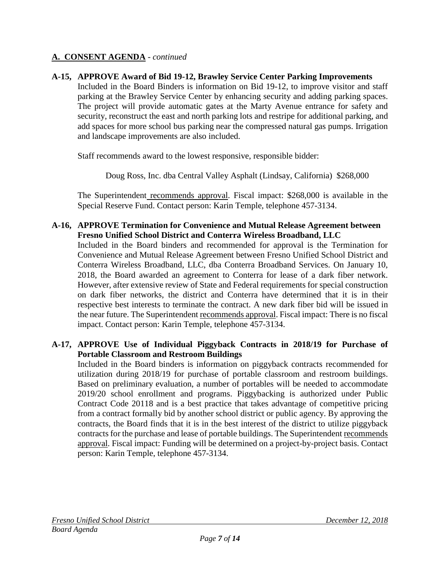## **A-15, APPROVE Award of Bid 19-12, Brawley Service Center Parking Improvements**

Included in the Board Binders is information on Bid 19-12, to improve visitor and staff parking at the Brawley Service Center by enhancing security and adding parking spaces. The project will provide automatic gates at the Marty Avenue entrance for safety and security, reconstruct the east and north parking lots and restripe for additional parking, and add spaces for more school bus parking near the compressed natural gas pumps. Irrigation and landscape improvements are also included.

Staff recommends award to the lowest responsive, responsible bidder:

Doug Ross, Inc. dba Central Valley Asphalt (Lindsay, California) \$268,000

The Superintendent recommends approval. Fiscal impact: \$268,000 is available in the Special Reserve Fund. Contact person: Karin Temple, telephone 457-3134.

#### **A-16, APPROVE Termination for Convenience and Mutual Release Agreement between Fresno Unified School District and Conterra Wireless Broadband, LLC**

Included in the Board binders and recommended for approval is the Termination for Convenience and Mutual Release Agreement between Fresno Unified School District and Conterra Wireless Broadband, LLC, dba Conterra Broadband Services. On January 10, 2018, the Board awarded an agreement to Conterra for lease of a dark fiber network. However, after extensive review of State and Federal requirements for special construction on dark fiber networks, the district and Conterra have determined that it is in their respective best interests to terminate the contract. A new dark fiber bid will be issued in the near future. The Superintendent recommends approval. Fiscal impact: There is no fiscal impact. Contact person: Karin Temple, telephone 457-3134.

## **A-17, APPROVE Use of Individual Piggyback Contracts in 2018/19 for Purchase of Portable Classroom and Restroom Buildings**

Included in the Board binders is information on piggyback contracts recommended for utilization during 2018/19 for purchase of portable classroom and restroom buildings. Based on preliminary evaluation, a number of portables will be needed to accommodate 2019/20 school enrollment and programs. Piggybacking is authorized under Public Contract Code 20118 and is a best practice that takes advantage of competitive pricing from a contract formally bid by another school district or public agency. By approving the contracts, the Board finds that it is in the best interest of the district to utilize piggyback contracts for the purchase and lease of portable buildings. The Superintendent recommends approval. Fiscal impact: Funding will be determined on a project-by-project basis. Contact person: Karin Temple, telephone 457-3134.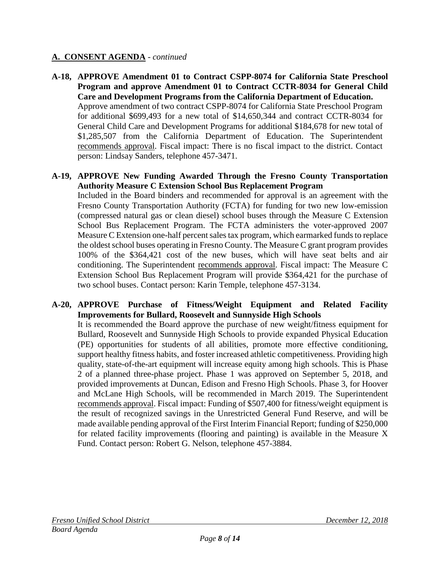**A-18, APPROVE Amendment 01 to Contract CSPP-8074 for California State Preschool Program and approve Amendment 01 to Contract CCTR-8034 for General Child Care and Development Programs from the California Department of Education.** Approve amendment of two contract CSPP-8074 for California State Preschool Program for additional \$699,493 for a new total of \$14,650,344 and contract CCTR-8034 for General Child Care and Development Programs for additional \$184,678 for new total of \$1,285,507 from the California Department of Education. The Superintendent recommends approval. Fiscal impact: There is no fiscal impact to the district. Contact person: Lindsay Sanders, telephone 457-3471.

#### **A-19, APPROVE New Funding Awarded Through the Fresno County Transportation Authority Measure C Extension School Bus Replacement Program**

Included in the Board binders and recommended for approval is an agreement with the Fresno County Transportation Authority (FCTA) for funding for two new low-emission (compressed natural gas or clean diesel) school buses through the Measure C Extension School Bus Replacement Program. The FCTA administers the voter-approved 2007 Measure C Extension one-half percent sales tax program, which earmarked funds to replace the oldest school buses operating in Fresno County. The Measure C grant program provides 100% of the \$364,421 cost of the new buses, which will have seat belts and air conditioning. The Superintendent recommends approval. Fiscal impact: The Measure C Extension School Bus Replacement Program will provide \$364,421 for the purchase of two school buses. Contact person: Karin Temple, telephone 457-3134.

#### **A-20, APPROVE Purchase of Fitness/Weight Equipment and Related Facility Improvements for Bullard, Roosevelt and Sunnyside High Schools**

It is recommended the Board approve the purchase of new weight/fitness equipment for Bullard, Roosevelt and Sunnyside High Schools to provide expanded Physical Education (PE) opportunities for students of all abilities, promote more effective conditioning, support healthy fitness habits, and foster increased athletic competitiveness. Providing high quality, state-of-the-art equipment will increase equity among high schools. This is Phase 2 of a planned three-phase project. Phase 1 was approved on September 5, 2018, and provided improvements at Duncan, Edison and Fresno High Schools. Phase 3, for Hoover and McLane High Schools, will be recommended in March 2019. The Superintendent recommends approval. Fiscal impact: Funding of \$507,400 for fitness/weight equipment is the result of recognized savings in the Unrestricted General Fund Reserve, and will be made available pending approval of the First Interim Financial Report; funding of \$250,000 for related facility improvements (flooring and painting) is available in the Measure X Fund. Contact person: Robert G. Nelson, telephone 457-3884.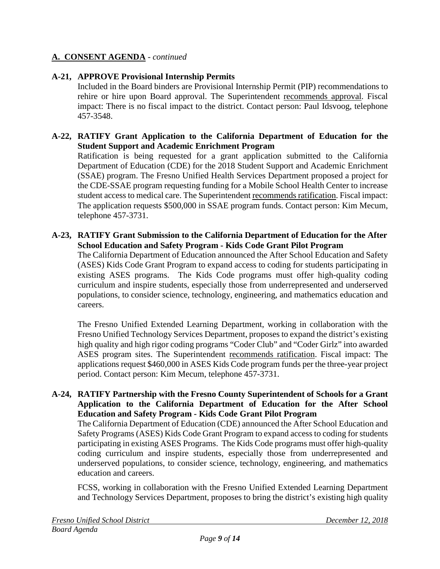## **A-21, APPROVE Provisional Internship Permits**

Included in the Board binders are Provisional Internship Permit (PIP) recommendations to rehire or hire upon Board approval. The Superintendent recommends approval. Fiscal impact: There is no fiscal impact to the district. Contact person: Paul Idsvoog, telephone 457-3548.

### **A-22, RATIFY Grant Application to the California Department of Education for the Student Support and Academic Enrichment Program**

Ratification is being requested for a grant application submitted to the California Department of Education (CDE) for the 2018 Student Support and Academic Enrichment (SSAE) program. The Fresno Unified Health Services Department proposed a project for the CDE-SSAE program requesting funding for a Mobile School Health Center to increase student access to medical care. The Superintendent recommends ratification. Fiscal impact: The application requests \$500,000 in SSAE program funds. Contact person: Kim Mecum, telephone 457-3731.

#### **A-23, RATIFY Grant Submission to the California Department of Education for the After School Education and Safety Program - Kids Code Grant Pilot Program**

The California Department of Education announced the After School Education and Safety (ASES) Kids Code Grant Program to expand access to coding for students participating in existing ASES programs. The Kids Code programs must offer high-quality coding curriculum and inspire students, especially those from underrepresented and underserved populations, to consider science, technology, engineering, and mathematics education and careers.

The Fresno Unified Extended Learning Department, working in collaboration with the Fresno Unified Technology Services Department, proposes to expand the district's existing high quality and high rigor coding programs "Coder Club" and "Coder Girlz" into awarded ASES program sites. The Superintendent recommends ratification. Fiscal impact: The applications request \$460,000 in ASES Kids Code program funds per the three-year project period. Contact person: Kim Mecum, telephone 457-3731.

#### **A-24, RATIFY Partnership with the Fresno County Superintendent of Schools for a Grant Application to the California Department of Education for the After School Education and Safety Program - Kids Code Grant Pilot Program**

The California Department of Education (CDE) announced the After School Education and Safety Programs (ASES) Kids Code Grant Program to expand access to coding for students participating in existing ASES Programs. The Kids Code programs must offer high-quality coding curriculum and inspire students, especially those from underrepresented and underserved populations, to consider science, technology, engineering, and mathematics education and careers.

FCSS, working in collaboration with the Fresno Unified Extended Learning Department and Technology Services Department, proposes to bring the district's existing high quality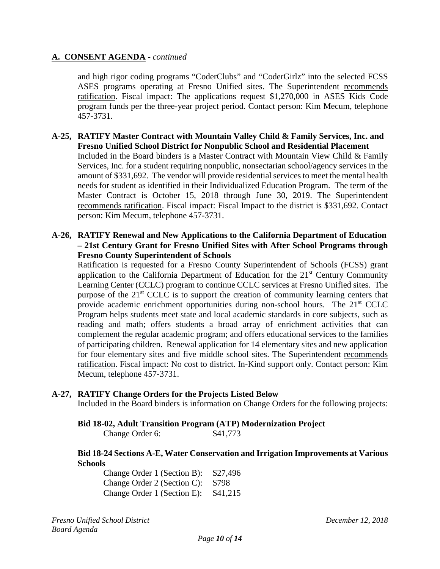and high rigor coding programs "CoderClubs" and "CoderGirlz" into the selected FCSS ASES programs operating at Fresno Unified sites. The Superintendent recommends ratification. Fiscal impact: The applications request \$1,270,000 in ASES Kids Code program funds per the three-year project period. Contact person: Kim Mecum, telephone 457-3731.

**A-25, RATIFY Master Contract with Mountain Valley Child & Family Services, Inc. and Fresno Unified School District for Nonpublic School and Residential Placement** Included in the Board binders is a Master Contract with Mountain View Child & Family Services, Inc. for a student requiring nonpublic, nonsectarian school/agency services in the amount of \$331,692. The vendor will provide residential services to meet the mental health needs for student as identified in their Individualized Education Program. The term of the Master Contract is October 15, 2018 through June 30, 2019. The Superintendent recommends ratification. Fiscal impact: Fiscal Impact to the district is \$331,692. Contact person: Kim Mecum, telephone 457-3731.

#### **A-26, RATIFY Renewal and New Applications to the California Department of Education – 21st Century Grant for Fresno Unified Sites with After School Programs through Fresno County Superintendent of Schools**

Ratification is requested for a Fresno County Superintendent of Schools (FCSS) grant application to the California Department of Education for the  $21<sup>st</sup>$  Century Community Learning Center (CCLC) program to continue CCLC services at Fresno Unified sites. The purpose of the 21<sup>st</sup> CCLC is to support the creation of community learning centers that provide academic enrichment opportunities during non-school hours. The 21<sup>st</sup> CCLC Program helps students meet state and local academic standards in core subjects, such as reading and math; offers students a broad array of enrichment activities that can complement the regular academic program; and offers educational services to the families of participating children. Renewal application for 14 elementary sites and new application for four elementary sites and five middle school sites. The Superintendent recommends ratification. Fiscal impact: No cost to district. In-Kind support only. Contact person: Kim Mecum, telephone 457-3731.

#### **A-27, RATIFY Change Orders for the Projects Listed Below**

Included in the Board binders is information on Change Orders for the following projects:

#### **Bid 18-02, Adult Transition Program (ATP) Modernization Project**

Change Order 6: \$41,773

#### **Bid 18-24 Sections A-E, Water Conservation and Irrigation Improvements at Various Schools**

Change Order 1 (Section B): \$27,496 Change Order 2 (Section C): \$798 Change Order 1 (Section E): \$41,215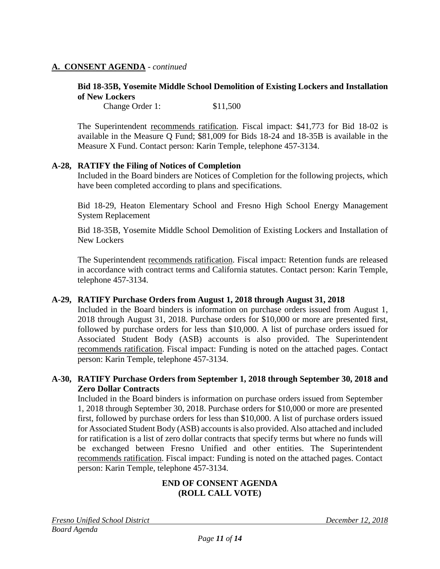#### **Bid 18-35B, Yosemite Middle School Demolition of Existing Lockers and Installation of New Lockers**

Change Order 1: \$11,500

The Superintendent recommends ratification. Fiscal impact: \$41,773 for Bid 18-02 is available in the Measure Q Fund; \$81,009 for Bids 18-24 and 18-35B is available in the Measure X Fund. Contact person: Karin Temple, telephone 457-3134.

#### **A-28, RATIFY the Filing of Notices of Completion**

Included in the Board binders are Notices of Completion for the following projects, which have been completed according to plans and specifications.

Bid 18-29, Heaton Elementary School and Fresno High School Energy Management System Replacement

Bid 18-35B, Yosemite Middle School Demolition of Existing Lockers and Installation of New Lockers

The Superintendent recommends ratification. Fiscal impact: Retention funds are released in accordance with contract terms and California statutes. Contact person: Karin Temple, telephone 457-3134.

#### **A-29, RATIFY Purchase Orders from August 1, 2018 through August 31, 2018**

Included in the Board binders is information on purchase orders issued from August 1, 2018 through August 31, 2018. Purchase orders for \$10,000 or more are presented first, followed by purchase orders for less than \$10,000. A list of purchase orders issued for Associated Student Body (ASB) accounts is also provided. The Superintendent recommends ratification. Fiscal impact: Funding is noted on the attached pages. Contact person: Karin Temple, telephone 457-3134.

#### **A-30, RATIFY Purchase Orders from September 1, 2018 through September 30, 2018 and Zero Dollar Contracts**

Included in the Board binders is information on purchase orders issued from September 1, 2018 through September 30, 2018. Purchase orders for \$10,000 or more are presented first, followed by purchase orders for less than \$10,000. A list of purchase orders issued for Associated Student Body (ASB) accounts is also provided. Also attached and included for ratification is a list of zero dollar contracts that specify terms but where no funds will be exchanged between Fresno Unified and other entities. The Superintendent recommends ratification. Fiscal impact: Funding is noted on the attached pages. Contact person: Karin Temple, telephone 457-3134.

#### **END OF CONSENT AGENDA (ROLL CALL VOTE)**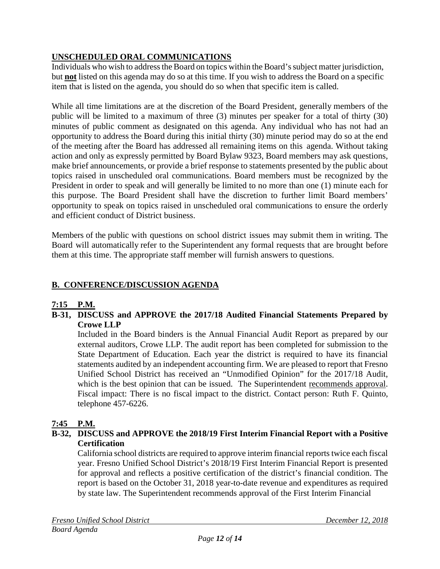# **UNSCHEDULED ORAL COMMUNICATIONS**

Individuals who wish to address the Board on topics within the Board's subject matter jurisdiction, but **not** listed on this agenda may do so at this time. If you wish to address the Board on a specific item that is listed on the agenda, you should do so when that specific item is called.

While all time limitations are at the discretion of the Board President, generally members of the public will be limited to a maximum of three (3) minutes per speaker for a total of thirty (30) minutes of public comment as designated on this agenda. Any individual who has not had an opportunity to address the Board during this initial thirty (30) minute period may do so at the end of the meeting after the Board has addressed all remaining items on this agenda. Without taking action and only as expressly permitted by Board Bylaw 9323, Board members may ask questions, make brief announcements, or provide a brief response to statements presented by the public about topics raised in unscheduled oral communications. Board members must be recognized by the President in order to speak and will generally be limited to no more than one (1) minute each for this purpose. The Board President shall have the discretion to further limit Board members' opportunity to speak on topics raised in unscheduled oral communications to ensure the orderly and efficient conduct of District business.

Members of the public with questions on school district issues may submit them in writing. The Board will automatically refer to the Superintendent any formal requests that are brought before them at this time. The appropriate staff member will furnish answers to questions.

# **B. CONFERENCE/DISCUSSION AGENDA**

# **7:15 P.M.**

**B-31, DISCUSS and APPROVE the 2017/18 Audited Financial Statements Prepared by Crowe LLP**

Included in the Board binders is the Annual Financial Audit Report as prepared by our external auditors, Crowe LLP. The audit report has been completed for submission to the State Department of Education. Each year the district is required to have its financial statements audited by an independent accounting firm. We are pleased to report that Fresno Unified School District has received an "Unmodified Opinion" for the 2017/18 Audit, which is the best opinion that can be issued. The Superintendent recommends approval. Fiscal impact: There is no fiscal impact to the district. Contact person: Ruth F. Quinto, telephone 457-6226.

# **7:45 P.M.**

## **B-32, DISCUSS and APPROVE the 2018/19 First Interim Financial Report with a Positive Certification**

California school districts are required to approve interim financial reports twice each fiscal year. Fresno Unified School District's 2018/19 First Interim Financial Report is presented for approval and reflects a positive certification of the district's financial condition. The report is based on the October 31, 2018 year-to-date revenue and expenditures as required by state law. The Superintendent recommends approval of the First Interim Financial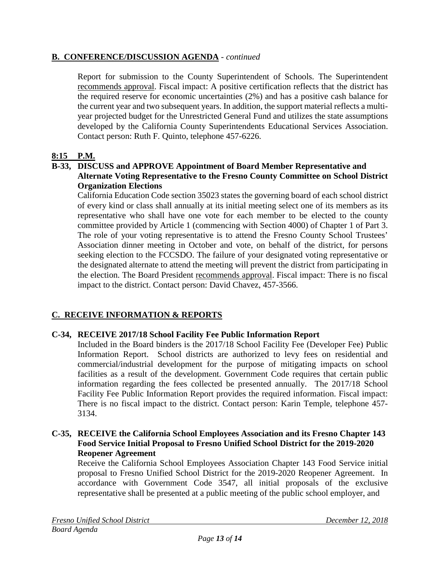## **B. CONFERENCE/DISCUSSION AGENDA** - *continued*

Report for submission to the County Superintendent of Schools. The Superintendent recommends approval. Fiscal impact: A positive certification reflects that the district has the required reserve for economic uncertainties (2%) and has a positive cash balance for the current year and two subsequent years. In addition, the support material reflects a multiyear projected budget for the Unrestricted General Fund and utilizes the state assumptions developed by the California County Superintendents Educational Services Association. Contact person: Ruth F. Quinto, telephone 457-6226.

# **8:15 P.M.**

#### **B-33, DISCUSS and APPROVE Appointment of Board Member Representative and Alternate Voting Representative to the Fresno County Committee on School District Organization Elections**

California Education Code section 35023 states the governing board of each school district of every kind or class shall annually at its initial meeting select one of its members as its representative who shall have one vote for each member to be elected to the county committee provided by Article 1 (commencing with Section 4000) of Chapter 1 of Part 3. The role of your voting representative is to attend the Fresno County School Trustees' Association dinner meeting in October and vote, on behalf of the district, for persons seeking election to the FCCSDO. The failure of your designated voting representative or the designated alternate to attend the meeting will prevent the district from participating in the election. The Board President recommends approval. Fiscal impact: There is no fiscal impact to the district. Contact person: David Chavez, 457-3566.

# **C. RECEIVE INFORMATION & REPORTS**

#### **C-34, RECEIVE 2017/18 School Facility Fee Public Information Report**

Included in the Board binders is the 2017/18 School Facility Fee (Developer Fee) Public Information Report. School districts are authorized to levy fees on residential and commercial/industrial development for the purpose of mitigating impacts on school facilities as a result of the development. Government Code requires that certain public information regarding the fees collected be presented annually. The 2017/18 School Facility Fee Public Information Report provides the required information. Fiscal impact: There is no fiscal impact to the district. Contact person: Karin Temple, telephone 457- 3134.

## **C-35, RECEIVE the California School Employees Association and its Fresno Chapter 143 Food Service Initial Proposal to Fresno Unified School District for the 2019-2020 Reopener Agreement**

Receive the California School Employees Association Chapter 143 Food Service initial proposal to Fresno Unified School District for the 2019-2020 Reopener Agreement. In accordance with Government Code 3547, all initial proposals of the exclusive representative shall be presented at a public meeting of the public school employer, and